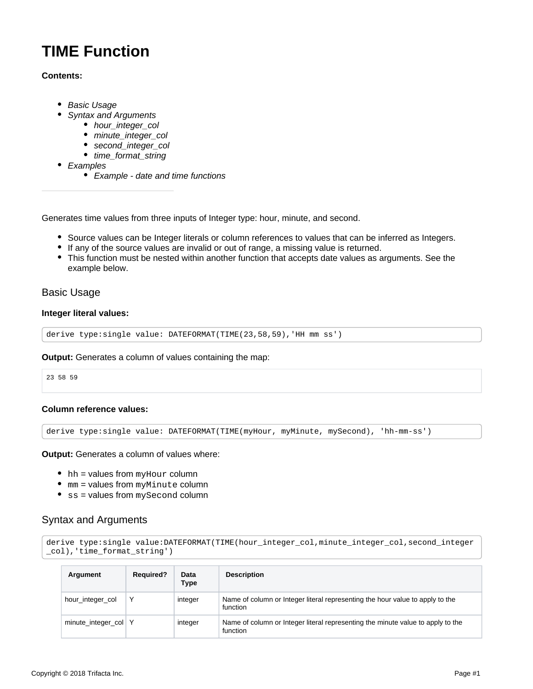# <span id="page-0-2"></span>**TIME Function**

## **Contents:**

- [Basic Usage](#page-0-0)
- [Syntax and Arguments](#page-0-1)
	- [hour\\_integer\\_col](#page-1-0)
	- [minute\\_integer\\_col](#page-1-1)
	- [second\\_integer\\_col](#page-1-2)
	- [time\\_format\\_string](#page-1-3)
- [Examples](#page-2-0)
	- Example date and time functions

Generates time values from three inputs of Integer type: hour, minute, and second.

- Source values can be Integer literals or column references to values that can be inferred as Integers.
- If any of the source values are invalid or out of range, a missing value is returned.
- This function must be nested within another function that accepts date values as arguments. See the example below.

# <span id="page-0-0"></span>Basic Usage

#### **Integer literal values:**

derive type:single value: DATEFORMAT(TIME(23,58,59),'HH mm ss')

#### **Output:** Generates a column of values containing the map:

23 58 59

#### **Column reference values:**

derive type:single value: DATEFORMAT(TIME(myHour, myMinute, mySecond), 'hh-mm-ss')

#### **Output:** Generates a column of values where:

- $\bullet$  hh = values from myHour column
- $mm =$  values from  $myMinute$  column
- $\bullet$  ss = values from  $mySecond$  column

# <span id="page-0-1"></span>Syntax and Arguments

```
derive type:single value:DATEFORMAT(TIME(hour_integer_col,minute_integer_col,second_integer
_col),'time_format_string')
```

| Argument             | <b>Required?</b> | Data<br>Type | <b>Description</b>                                                                          |
|----------------------|------------------|--------------|---------------------------------------------------------------------------------------------|
| hour_integer_col     |                  | integer      | Name of column or Integer literal representing the hour value to apply to the<br>function   |
| minute_integer_col Y |                  | integer      | Name of column or Integer literal representing the minute value to apply to the<br>function |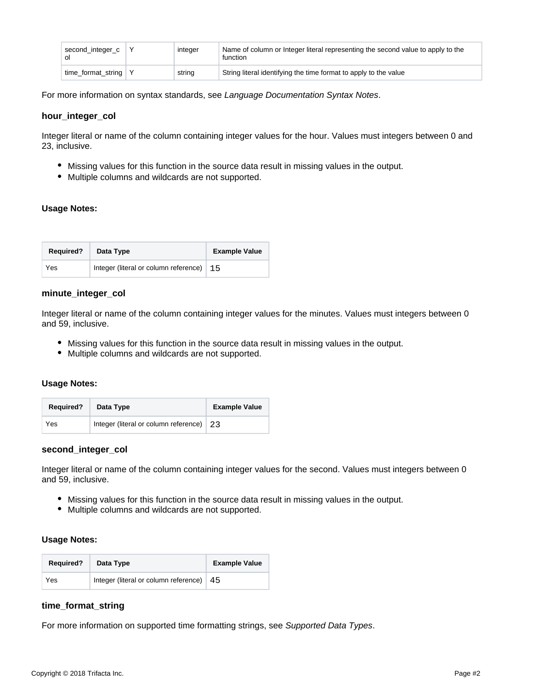| second_integer_c             | integer | Name of column or Integer literal representing the second value to apply to the<br>function |
|------------------------------|---------|---------------------------------------------------------------------------------------------|
| time_format_string $\vert$ Y | string  | String literal identifying the time format to apply to the value                            |

For more information on syntax standards, see [Language Documentation Syntax Notes](https://docs.trifacta.com/display/r051/Language+Documentation+Syntax+Notes).

#### <span id="page-1-0"></span>**hour\_integer\_col**

Integer literal or name of the column containing integer values for the hour. Values must integers between 0 and 23, inclusive.

- Missing values for this function in the source data result in missing values in the output.
- Multiple columns and wildcards are not supported.

## **Usage Notes:**

| <b>Required?</b> | Data Type                                  | <b>Example Value</b> |
|------------------|--------------------------------------------|----------------------|
| Yes              | Integer (literal or column reference)   15 |                      |

#### <span id="page-1-1"></span>**minute\_integer\_col**

Integer literal or name of the column containing integer values for the minutes. Values must integers between 0 and 59, inclusive.

- Missing values for this function in the source data result in missing values in the output.
- Multiple columns and wildcards are not supported.

#### **Usage Notes:**

| <b>Required?</b> | Data Type                                | <b>Example Value</b> |
|------------------|------------------------------------------|----------------------|
| Yes              | Integer (literal or column reference) 23 |                      |

## <span id="page-1-2"></span>**second\_integer\_col**

Integer literal or name of the column containing integer values for the second. Values must integers between 0 and 59, inclusive.

- Missing values for this function in the source data result in missing values in the output.
- Multiple columns and wildcards are not supported.

#### **Usage Notes:**

| <b>Required?</b> | Data Type                             | <b>Example Value</b> |
|------------------|---------------------------------------|----------------------|
| Yes              | Integer (literal or column reference) | 45                   |

#### <span id="page-1-3"></span>**time\_format\_string**

For more information on supported time formatting strings, see [Supported Data Types](https://docs.trifacta.com/display/r051/Supported+Data+Types).